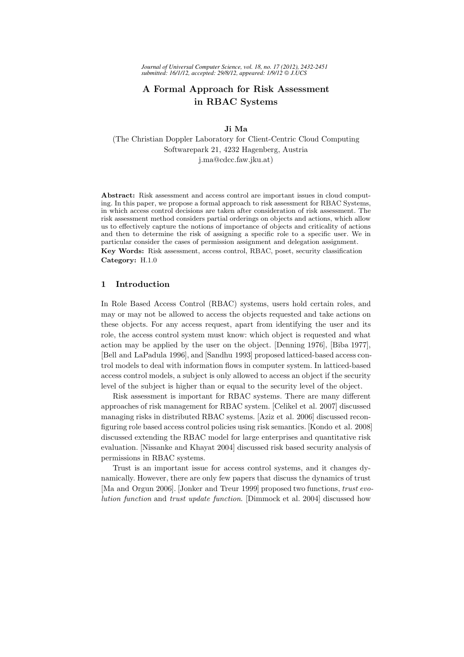# A Formal Approach for Risk Assessment in RBAC Systems

Ji Ma

(The Christian Doppler Laboratory for Client-Centric Cloud Computing Softwarepark 21, 4232 Hagenberg, Austria j.ma@cdcc.faw.jku.at)

Abstract: Risk assessment and access control are important issues in cloud computing. In this paper, we propose a formal approach to risk assessment for RBAC Systems, in which access control decisions are taken after consideration of risk assessment. The risk assessment method considers partial orderings on objects and actions, which allow us to effectively capture the notions of importance of objects and criticality of actions and then to determine the risk of assigning a specific role to a specific user. We in particular consider the cases of permission assignment and delegation assignment.

Key Words: Risk assessment, access control, RBAC, poset, security classification Category: H.1.0

#### 1 Introduction

In Role Based Access Control (RBAC) systems, users hold certain roles, and may or may not be allowed to access the objects requested and take actions on these objects. For any access request, apart from identifying the user and its role, the access control system must know: which object is requested and what action may be applied by the user on the object. [Denning 1976], [Biba 1977], [Bell and LaPadula 1996], and [Sandhu 1993] proposed latticed-based access control models to deal with information flows in computer system. In latticed-based access control models, a subject is only allowed to access an object if the security level of the subject is higher than or equal to the security level of the object.

Risk assessment is important for RBAC systems. There are many different approaches of risk management for RBAC system. [Celikel et al. 2007] discussed managing risks in distributed RBAC systems. [Aziz et al. 2006] discussed reconfiguring role based access control policies using risk semantics. [Kondo et al. 2008] discussed extending the RBAC model for large enterprises and quantitative risk evaluation. [Nissanke and Khayat 2004] discussed risk based security analysis of permissions in RBAC systems.

Trust is an important issue for access control systems, and it changes dynamically. However, there are only few papers that discuss the dynamics of trust [Ma and Orgun 2006]. [Jonker and Treur 1999] proposed two functions, *trust evolution function* and *trust update function*. [Dimmock et al. 2004] discussed how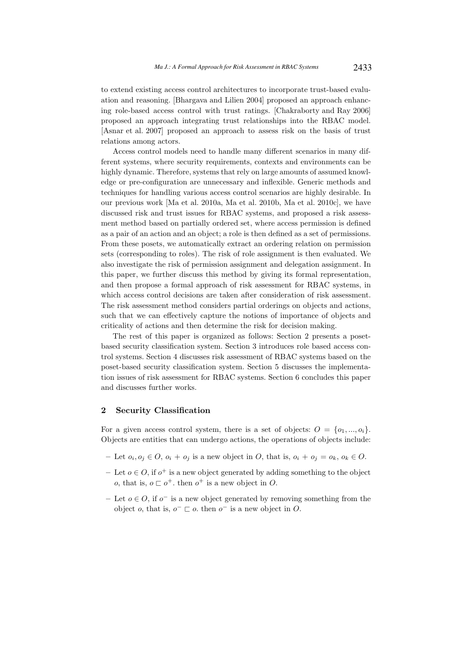to extend existing access control architectures to incorporate trust-based evaluation and reasoning. [Bhargava and Lilien 2004] proposed an approach enhancing role-based access control with trust ratings. [Chakraborty and Ray 2006] proposed an approach integrating trust relationships into the RBAC model. [Asnar et al. 2007] proposed an approach to assess risk on the basis of trust relations among actors.

Access control models need to handle many different scenarios in many different systems, where security requirements, contexts and environments can be highly dynamic. Therefore, systems that rely on large amounts of assumed knowledge or pre-configuration are unnecessary and inflexible. Generic methods and techniques for handling various access control scenarios are highly desirable. In our previous work [Ma et al. 2010a, Ma et al. 2010b, Ma et al. 2010c], we have discussed risk and trust issues for RBAC systems, and proposed a risk assessment method based on partially ordered set, where access permission is defined as a pair of an action and an object; a role is then defined as a set of permissions. From these posets, we automatically extract an ordering relation on permission sets (corresponding to roles). The risk of role assignment is then evaluated. We also investigate the risk of permission assignment and delegation assignment. In this paper, we further discuss this method by giving its formal representation, and then propose a formal approach of risk assessment for RBAC systems, in which access control decisions are taken after consideration of risk assessment. The risk assessment method considers partial orderings on objects and actions, such that we can effectively capture the notions of importance of objects and criticality of actions and then determine the risk for decision making.

The rest of this paper is organized as follows: Section 2 presents a posetbased security classification system. Section 3 introduces role based access control systems. Section 4 discusses risk assessment of RBAC systems based on the poset-based security classification system. Section 5 discusses the implementation issues of risk assessment for RBAC systems. Section 6 concludes this paper and discusses further works.

# 2 Security Classification

For a given access control system, there is a set of objects:  $O = \{o_1, ..., o_i\}$ . Objects are entities that can undergo actions, the operations of objects include:

- Let  $o_i, o_j \in O$ ,  $o_i + o_j$  is a new object in O, that is,  $o_i + o_j = o_k$ ,  $o_k \in O$ .
- − Let  $o \in O$ , if  $o^+$  is a new object generated by adding something to the object o, that is,  $o \sqsubset o^+$ . then  $o^+$  is a new object in O.
- − Let  $o \in O$ , if  $o^{-}$  is a new object generated by removing something from the object *o*, that is,  $o^- \sqsubset o$ . then  $o^-$  is a new object in O.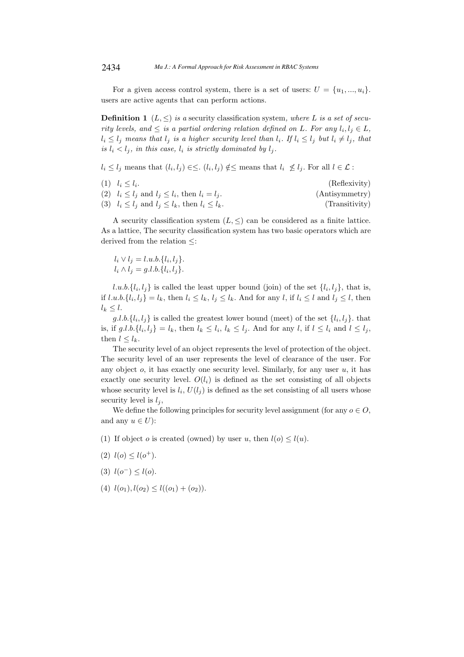For a given access control system, there is a set of users:  $U = \{u_1, ..., u_i\}.$ users are active agents that can perform actions.

**Definition 1**  $(L, \leq)$  *is a* security classification system, where L *is a set of security levels, and*  $\leq$  *is a partial ordering relation defined on L. For any*  $l_i, l_j \in L$ ,  $l_i \leq l_j$  *means that*  $l_j$  *is a higher security level than*  $l_i$ *. If*  $l_i \leq l_j$  *but*  $l_i \neq l_j$ *, that is*  $l_i < l_j$ , *in this case*,  $l_i$  *is strictly dominated by*  $l_j$ *.* 

 $l_i \leq l_j$  means that  $(l_i, l_j) \in \leq l_i, l_j \notin \leq$  means that  $l_i \nleq l_j$ . For all  $l \in \mathcal{L}$ :

| $(1)$ $l_i \leq l_i$ .                                        | (Reflexivity)  |
|---------------------------------------------------------------|----------------|
| (2) $l_i \leq l_j$ and $l_j \leq l_i$ , then $l_i = l_j$ .    | (Antisymmetry) |
| (3) $l_i \leq l_j$ and $l_j \leq l_k$ , then $l_i \leq l_k$ . | (Transitivity) |

A security classification system  $(L, \leq)$  can be considered as a finite lattice. As a lattice, The security classification system has two basic operators which are derived from the relation ≤:

$$
l_i \vee l_j = l.u.b.\{l_i, l_j\}.
$$
  

$$
l_i \wedge l_j = g.l.b.\{l_i, l_j\}.
$$

 $l.u.b.\{l_i, l_j\}$  is called the least upper bound (join) of the set  $\{l_i, l_j\}$ , that is, if  $l.u.b.\{l_i, l_j\} = l_k$ , then  $l_i \leq l_k$ ,  $l_j \leq l_k$ . And for any l, if  $l_i \leq l$  and  $l_j \leq l$ , then  $l_k \leq l$ .

g.l.b. $\{l_i, l_j\}$  is called the greatest lower bound (meet) of the set  $\{l_i, l_j\}$ . that is, if  $g.l.b.\{l_i, l_j\} = l_k$ , then  $l_k \leq l_i$ ,  $l_k \leq l_j$ . And for any l, if  $l \leq l_i$  and  $l \leq l_j$ , then  $l \leq l_k$ .

The security level of an object represents the level of protection of the object. The security level of an user represents the level of clearance of the user. For any object  $o$ , it has exactly one security level. Similarly, for any user  $u$ , it has exactly one security level.  $O(l_i)$  is defined as the set consisting of all objects whose security level is  $l_i$ ,  $U(l_j)$  is defined as the set consisting of all users whose security level is  $l_i$ ,

We define the following principles for security level assignment (for any  $o \in O$ , and any  $u \in U$ :

- (1) If object o is created (owned) by user u, then  $l(o) \leq l(u)$ .
- (2)  $l(o) \leq l(o^+)$ .
- (3)  $l(o^-) \leq l(o)$ .
- (4)  $l(o_1)$ ,  $l(o_2) < l((o_1) + (o_2))$ .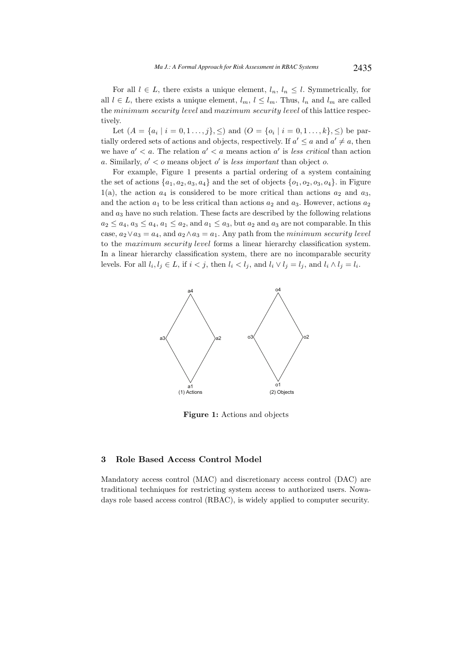For all  $l \in L$ , there exists a unique element,  $l_n, l_n \leq l$ . Symmetrically, for all  $l \in L$ , there exists a unique element,  $l_m$ ,  $l \leq l_m$ . Thus,  $l_n$  and  $l_m$  are called the minimum security level and maximum security level of this lattice respectively.

Let  $(A = \{a_i \mid i = 0, 1, \ldots, j\}, \leq)$  and  $(O = \{o_i \mid i = 0, 1, \ldots, k\}, \leq)$  be partially ordered sets of actions and objects, respectively. If  $a' \le a$  and  $a' \ne a$ , then we have  $a' < a$ . The relation  $a' < a$  means action  $a'$  is *less critical* than action a. Similarly,  $o' < o$  means object  $o'$  is *less important* than object  $o$ .

For example, Figure 1 presents a partial ordering of a system containing the set of actions  $\{a_1, a_2, a_3, a_4\}$  and the set of objects  $\{o_1, o_2, o_3, o_4\}$ . in Figure 1(a), the action  $a_4$  is considered to be more critical than actions  $a_2$  and  $a_3$ , and the action  $a_1$  to be less critical than actions  $a_2$  and  $a_3$ . However, actions  $a_2$ and  $a_3$  have no such relation. These facts are described by the following relations  $a_2 \le a_4, a_3 \le a_4, a_1 \le a_2$ , and  $a_1 \le a_3$ , but  $a_2$  and  $a_3$  are not comparable. In this case,  $a_2 \vee a_3 = a_4$ , and  $a_2 \wedge a_3 = a_1$ . Any path from the minimum security level to the maximum security level forms a linear hierarchy classification system. In a linear hierarchy classification system, there are no incomparable security levels. For all  $l_i, l_j \in L$ , if  $i < j$ , then  $l_i < l_j$ , and  $l_i \vee l_j = l_j$ , and  $l_i \wedge l_j = l_i$ .



Figure 1: Actions and objects

## 3 Role Based Access Control Model

Mandatory access control (MAC) and discretionary access control (DAC) are traditional techniques for restricting system access to authorized users. Nowadays role based access control (RBAC), is widely applied to computer security.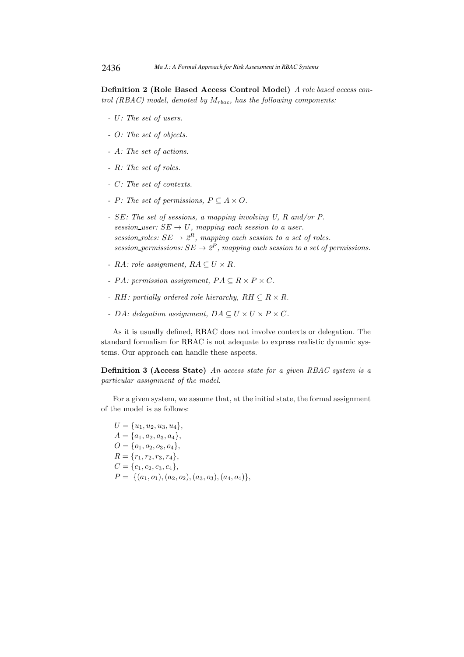Definition 2 (Role Based Access Control Model) *A role based access control (RBAC) model, denoted by* Mrbac*, has the following components:*

- *-* U*: The set of users.*
- *-* O*: The set of objects.*
- *-* A*: The set of actions.*
- *-* R*: The set of roles.*
- *-* C*: The set of contexts.*
- *- P*: The set of permissions,  $P \subseteq A \times O$ .
- *-* SE*: The set of sessions, a mapping involving U, R and/or P. session\_user:*  $SE \rightarrow U$ , mapping each session to a user. *session\_roles:*  $SE \rightarrow 2^R$ *, mapping each session to a set of roles. session\_permissions:*  $SE \rightarrow 2^P$ , mapping each session to a set of permissions.
- *-* RA: role assignment,  $RA \subseteq U \times R$ .
- *- PA:* permission assignment,  $PA \subseteq R \times P \times C$ .
- *-* RH: partially ordered role hierarchy,  $RH \subseteq R \times R$ .
- *- DA:* delegation assignment,  $DA \subseteq U \times U \times P \times C$ *.*

As it is usually defined, RBAC does not involve contexts or delegation. The standard formalism for RBAC is not adequate to express realistic dynamic systems. Our approach can handle these aspects.

Definition 3 (Access State) *An access state for a given RBAC system is a particular assignment of the model.*

For a given system, we assume that, at the initial state, the formal assignment of the model is as follows:

 $U = \{u_1, u_2, u_3, u_4\},\$  $A = \{a_1, a_2, a_3, a_4\},\$  $O = \{o_1, o_2, o_3, o_4\},\$  $R = \{r_1, r_2, r_3, r_4\},\$  $C = \{c_1, c_2, c_3, c_4\},\$  $P = \{(a_1, o_1), (a_2, o_2), (a_3, o_3), (a_4, o_4)\},\$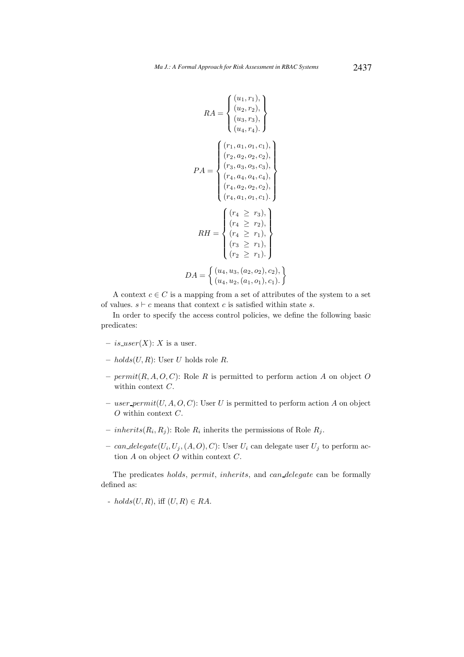$$
RA = \begin{cases} (u_1, r_1), \\ (u_2, r_2), \\ (u_3, r_3), \\ (u_4, r_4). \end{cases}
$$

$$
PA = \begin{cases} (r_1, a_1, o_1, c_1), \\ (r_2, a_2, o_2, c_2), \\ (r_3, a_3, o_3, c_3), \\ (r_4, a_4, o_4, c_4), \\ (r_4, a_2, o_2, c_2), \\ (r_4, a_1, o_1, c_1). \end{cases}
$$

$$
RH = \begin{cases} (r_4 \ge r_3), \\ (r_4 \ge r_2), \\ (r_4 \ge r_1), \\ (r_3 \ge r_1), \\ (r_2 \ge r_1). \end{cases}
$$

$$
DA = \begin{cases} (u_4, u_3, (a_2, o_2), c_2), \\ (u_4, u_2, (a_1, o_1), c_1). \end{cases}
$$

A context  $c \in C$  is a mapping from a set of attributes of the system to a set of values.  $s \vdash c$  means that context c is satisfied within state s.

In order to specify the access control policies, we define the following basic predicates:

- is user $(X)$ : X is a user.
- $-$  holds(U, R): User U holds role R.
- $\text{permit}(R, A, O, C)$ : Role R is permitted to perform action A on object O within context  $C$ .
- user permit $(U, A, O, C)$ : User U is permitted to perform action A on object  $O$  within context  $C$ .
- *inherits* $(R_i, R_j)$ : Role  $R_i$  inherits the permissions of Role  $R_j$ .
- can delegate $(U_i, U_j, (A, O), C)$ : User  $U_i$  can delegate user  $U_j$  to perform action  $A$  on object  $O$  within context  $C$ .

The predicates holds, permit, inherits, and can delegate can be formally defined as:

-  $holds(U, R)$ , iff  $(U, R) \in RA$ .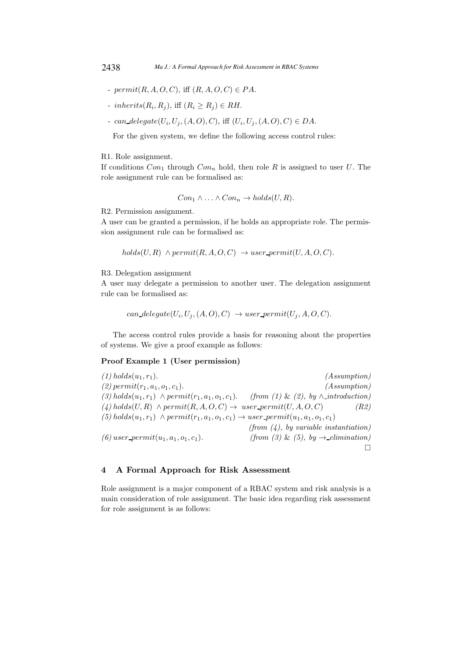- $\text{permit}(R, A, O, C)$ , iff  $(R, A, O, C) \in PA$ .
- inherits $(R_i, R_j)$ , iff  $(R_i \ge R_j) \in RH$ .
- can delegate $(U_i, U_j, (A, O), C)$ , iff  $(U_i, U_j, (A, O), C) \in DA$ .

For the given system, we define the following access control rules:

#### R1. Role assignment.

If conditions  $Con_1$  through  $Con_n$  hold, then role R is assigned to user U. The role assignment rule can be formalised as:

$$
Con_1 \wedge \ldots \wedge Con_n \rightarrow holds(U, R).
$$

R2. Permission assignment.

A user can be granted a permission, if he holds an appropriate role. The permission assignment rule can be formalised as:

 $holds(U, R) \wedge permit(R, A, O, C) \rightarrow user\_permit(U, A, O, C).$ 

# R3. Delegation assignment

A user may delegate a permission to another user. The delegation assignment rule can be formalised as:

```
can\_delete(U_i, U_j, (A, O), C) \rightarrow user\_permit(U_j, A, O, C).
```
The access control rules provide a basis for reasoning about the properties of systems. We give a proof example as follows:

# Proof Example 1 (User permission)

 $(1)$  holds $(u_1, r_1)$ .  $(Assumption)$  $(2)$  permit $(r_1, a_1, o_1, c_1)$ . *(Assumption)*  $(3)$  holds $(u_1, r_1)$  ∧ permit $(r_1, a_1, o_1, c_1)$ . *(from (1)* & *(2), by* ∧ *introduction)*  $(A)$  holds(U, R)  $\land$  permit(R, A, O, C)  $\rightarrow$  user permit(U, A, O, C) *(R2)*  $(5)$  holds $(u_1, r_1) \wedge permit(r_1, a_1, o_1, c_1) \rightarrow user\_permit(u_1, a_1, o_1, c_1)$ *(from (4), by variable instantiation)*  $(6)$  user\_permit $(u_1, a_1, o_1, c_1)$ . *(from (3)* & *(5), by*  $\rightarrow$  *elimination)*  $\Box$ 

# 4 A Formal Approach for Risk Assessment

Role assignment is a major component of a RBAC system and risk analysis is a main consideration of role assignment. The basic idea regarding risk assessment for role assignment is as follows: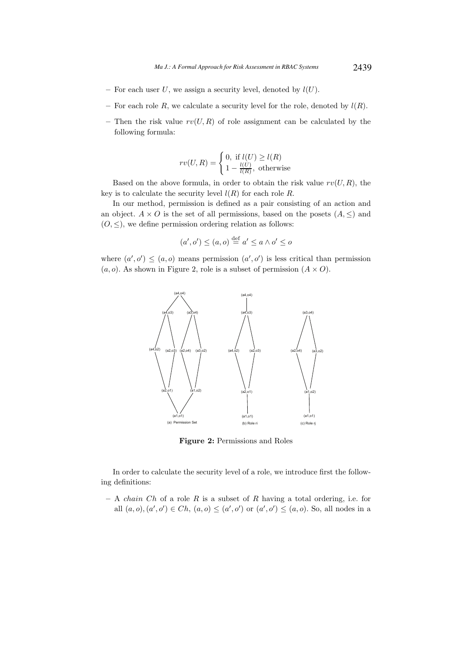- For each user U, we assign a security level, denoted by  $l(U)$ .
- For each role R, we calculate a security level for the role, denoted by  $l(R)$ .
- Then the risk value  $rv(U, R)$  of role assignment can be calculated by the following formula:

$$
rv(U,R) = \begin{cases} 0, & \text{if } l(U) \ge l(R) \\ 1 - \frac{l(U)}{l(R)}, & \text{otherwise} \end{cases}
$$

Based on the above formula, in order to obtain the risk value  $rv(U, R)$ , the key is to calculate the security level  $l(R)$  for each role R.

In our method, permission is defined as a pair consisting of an action and an object.  $A \times O$  is the set of all permissions, based on the posets  $(A, \leq)$  and  $(0, \leq)$ , we define permission ordering relation as follows:

$$
(a', o') \le (a, o) \stackrel{\text{def}}{=} a' \le a \land o' \le o
$$

where  $(a', o') \leq (a, o)$  means permission  $(a', o')$  is less critical than permission  $(a, o)$ . As shown in Figure 2, role is a subset of permission  $(A \times O)$ .



Figure 2: Permissions and Roles

In order to calculate the security level of a role, we introduce first the following definitions:

 $- A$  *chain Ch* of a role R is a subset of R having a total ordering, i.e. for all  $(a, o), (a', o') \in Ch$ ,  $(a, o) \leq (a', o')$  or  $(a', o') \leq (a, o)$ . So, all nodes in a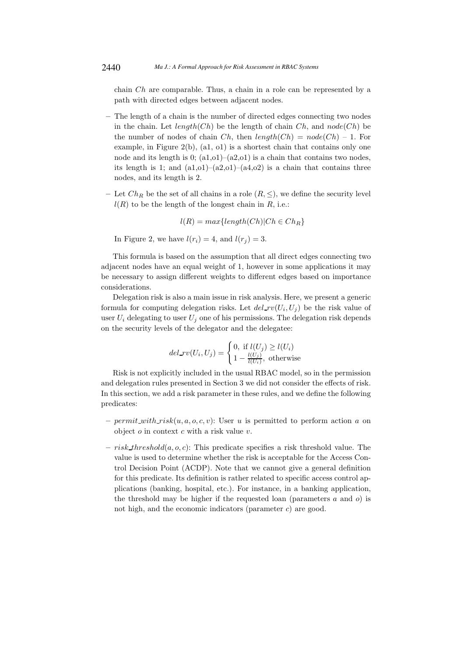chain Ch are comparable. Thus, a chain in a role can be represented by a path with directed edges between adjacent nodes.

- The length of a chain is the number of directed edges connecting two nodes in the chain. Let length(Ch) be the length of chain Ch, and  $node(Ch)$  be the number of nodes of chain Ch, then  $length(Ch) = node(Ch) - 1$ . For example, in Figure 2(b), (a1, o1) is a shortest chain that contains only one node and its length is  $0$ ;  $(a1,01)$ – $(a2,01)$  is a chain that contains two nodes, its length is 1; and  $(a1,01)$ – $(a2,01)$ – $(a4,02)$  is a chain that contains three nodes, and its length is 2.
- Let  $Ch_R$  be the set of all chains in a role  $(R, \leq)$ , we define the security level  $l(R)$  to be the length of the longest chain in R, i.e.:

$$
l(R) = max\{length(Ch)|Ch \in Ch_R\}
$$

In Figure 2, we have  $l(r_i) = 4$ , and  $l(r_i) = 3$ .

This formula is based on the assumption that all direct edges connecting two adjacent nodes have an equal weight of 1, however in some applications it may be necessary to assign different weights to different edges based on importance considerations.

Delegation risk is also a main issue in risk analysis. Here, we present a generic formula for computing delegation risks. Let  $del\_rv(U_i, U_j)$  be the risk value of user  $U_i$  delegating to user  $U_j$  one of his permissions. The delegation risk depends on the security levels of the delegator and the delegatee:

$$
del_r v(U_i, U_j) = \begin{cases} 0, \text{ if } l(U_j) \ge l(U_i) \\ 1 - \frac{l(U_j)}{l(U_i)}, \text{ otherwise} \end{cases}
$$

Risk is not explicitly included in the usual RBAC model, so in the permission and delegation rules presented in Section 3 we did not consider the effects of risk. In this section, we add a risk parameter in these rules, and we define the following predicates:

- permit with risk $(u, a, o, c, v)$ : User u is permitted to perform action a on object  $o$  in context  $c$  with a risk value  $v$ .
- risk threshold $(a, o, c)$ : This predicate specifies a risk threshold value. The value is used to determine whether the risk is acceptable for the Access Control Decision Point (ACDP). Note that we cannot give a general definition for this predicate. Its definition is rather related to specific access control applications (banking, hospital, etc.). For instance, in a banking application, the threshold may be higher if the requested loan (parameters  $a$  and  $o$ ) is not high, and the economic indicators (parameter  $c$ ) are good.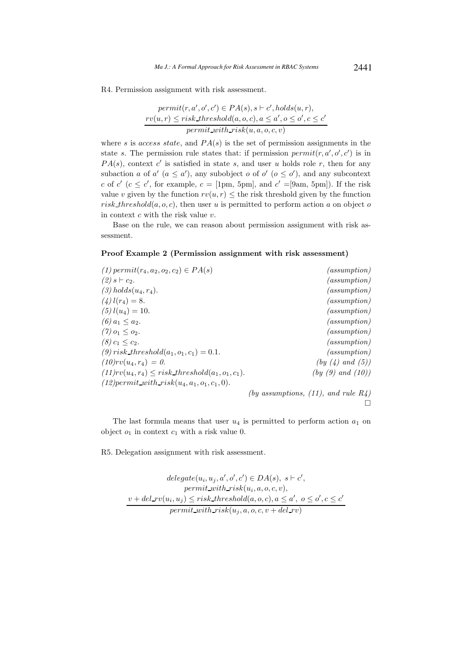R4. Permission assignment with risk assessment.

$$
permit(r, a', o', c') \in PA(s), s \vdash c', holds(u, r),
$$
  

$$
rv(u, r) \leq risk\_threshold(a, o, c), a \leq a', o \leq o', c \leq c'
$$
  

$$
permit\_with\_risk(u, a, o, c, v)
$$

where s is access state, and  $PA(s)$  is the set of permission assignments in the state s. The permission rule states that: if permission  $\text{permit}(r, a', o', c')$  is in  $PA(s)$ , context c' is satisfied in state s, and user u holds role r, then for any subaction a of a'  $(a \le a')$ , any subobject o of o'  $(o \le o')$ , and any subcontext c of  $c'$  ( $c \le c'$ , for example,  $c = 1$ pm, 5pm], and  $c' = 9$ am, 5pm]). If the risk value v given by the function  $rv(u, r) \leq$  the risk threshold given by the function risk threshold $(a, o, c)$ , then user u is permitted to perform action a on object of in context  $c$  with the risk value  $v$ .

Base on the rule, we can reason about permission assignment with risk assessment.

#### Proof Example 2 (Permission assignment with risk assessment)

| $(1)$ permit $(r_4, a_2, o_2, c_2) \in PA(s)$        | (assumption)                               |
|------------------------------------------------------|--------------------------------------------|
| $(2) s \vdash c_2.$                                  | (assumption)                               |
| $(3) holds(u_4, r_4).$                               | (assumption)                               |
| $(4) l(r_4) = 8.$                                    | (assumption)                               |
| $(5)$ $l(u_4) = 10$ .                                | (assumption)                               |
| (6) $a_1 \leq a_2$ .                                 | (assumption)                               |
| $(7)$ $o_1 \leq o_2$ .                               | (assumption)                               |
| $(8) c_1 \leq c_2.$                                  | (assumption)                               |
| (9) risk_threshold( $a_1, o_1, c_1$ ) = 0.1.         | (assumption)                               |
| $(10)rv(u_4, r_4) = 0.$                              | (by (4) and (5))                           |
| $(11)rv(u_4,r_4) \leq risk\_threshold(a_1,o_1,c_1).$ | (by (9) and (10))                          |
| $(12)$ permit_with_risk $(u_4, a_1, o_1, c_1, 0)$ .  |                                            |
|                                                      | (by assumptions, $(11)$ , and rule $R_4$ ) |

 $\Box$ 

The last formula means that user  $u_4$  is permitted to perform action  $a_1$  on object  $o_1$  in context  $c_1$  with a risk value 0.

R5. Delegation assignment with risk assessment.

 $\text{delegate}(u_i, u_j, a', o', c') \in DA(s), \ s \vdash c',$  $\mathit{permit\_with\_risk}(u_i, a, o, c, v),$  $v + del_r v(u_i, u_j) \leq risk\_threshold(a, o, c), a \leq a', o \leq o', c \leq c'$  $\mathit{permit\_with\_risk}(u_j, a, o, c, v + del\_rv)$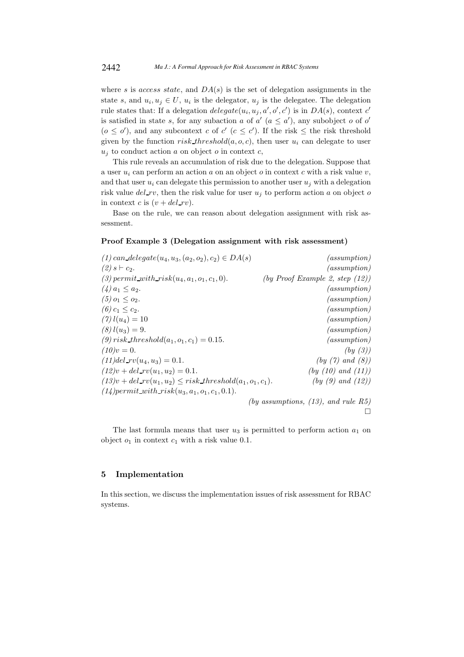where s is access state, and  $DA(s)$  is the set of delegation assignments in the state s, and  $u_i, u_j \in U$ ,  $u_i$  is the delegator,  $u_j$  is the delegate. The delegation rule states that: If a delegation  $delete(u_i, u_j, a', o', c')$  is in  $DA(s)$ , context c' is satisfied in state s, for any subaction a of  $a'$  ( $a \le a'$ ), any subobject o of o'  $(o \leq o')$ , and any subcontext c of c'  $(c \leq c')$ . If the risk  $\leq$  the risk threshold given by the function risk threshold(a, o, c), then user  $u_i$  can delegate to user  $u_i$  to conduct action a on object o in context c,

This rule reveals an accumulation of risk due to the delegation. Suppose that a user  $u_i$  can perform an action a on an object o in context c with a risk value  $v$ , and that user  $u_i$  can delegate this permission to another user  $u_j$  with a delegation risk value  $del_r v$ , then the risk value for user  $u_i$  to perform action a on object of in context c is  $(v + del rv)$ .

Base on the rule, we can reason about delegation assignment with risk assessment.

# Proof Example 3 (Delegation assignment with risk assessment)

| $(1)$ can delegate $(u_4, u_3, (a_2, o_2), c_2) \in DA(s)$       | (assumption)                           |
|------------------------------------------------------------------|----------------------------------------|
| $(2) s \vdash c_2.$                                              | (assumption)                           |
| (3) permit with risk $(u_4, a_1, o_1, c_1, 0)$ .                 | (by Proof Example 2, step $(12)$ )     |
| $(4) a_1 \le a_2.$                                               | (assumption)                           |
| $(5)$ $o_1 \leq o_2$ .                                           | (assumption)                           |
| (6) $c_1 \leq c_2$ .                                             | (assumption)                           |
| $(7) l(u_4) = 10$                                                | (assumption)                           |
| $(8)$ $l(u_3) = 9$ .                                             | (assumption)                           |
| (9) risk_threshold( $a_1, o_1, c_1$ ) = 0.15.                    | (assumption)                           |
| $(10)v = 0.$                                                     | (by(3))                                |
| $(11)$ del_rv $(u_4, u_3) = 0.1$ .                               | (by (7) and (8))                       |
| $(12)v + del_r v(u_1, u_2) = 0.1.$                               | (by (10) and (11))                     |
| $(13)v + del_r v(u_1, u_2) \leq risk\_threshold(a_1, o_1, c_1).$ | (by (9) and (12))                      |
| $(14)$ permit_with_risk $(u_3, a_1, o_1, c_1, 0.1)$ .            |                                        |
|                                                                  | (by assumptions, $(13)$ , and rule R5) |
|                                                                  |                                        |

The last formula means that user  $u_3$  is permitted to perform action  $a_1$  on object  $o_1$  in context  $c_1$  with a risk value 0.1.

# 5 Implementation

In this section, we discuss the implementation issues of risk assessment for RBAC systems.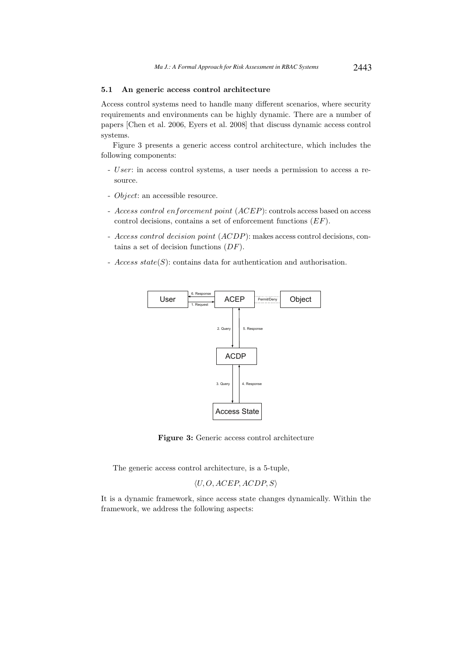# 5.1 An generic access control architecture

Access control systems need to handle many different scenarios, where security requirements and environments can be highly dynamic. There are a number of papers [Chen et al. 2006, Eyers et al. 2008] that discuss dynamic access control systems.

Figure 3 presents a generic access control architecture, which includes the following components:

- User: in access control systems, a user needs a permission to access a resource.
- Object: an accessible resource.
- Access control enforcement point (ACEP): controls access based on access control decisions, contains a set of enforcement functions (EF).
- Access control decision point (ACDP): makes access control decisions, contains a set of decision functions  $(DF)$ .
- $Access\ state(S)$ : contains data for authentication and authorisation.



Figure 3: Generic access control architecture

The generic access control architecture, is a 5-tuple,

$$
\langle U, O, ACEP, ACDP, S \rangle
$$

It is a dynamic framework, since access state changes dynamically. Within the framework, we address the following aspects: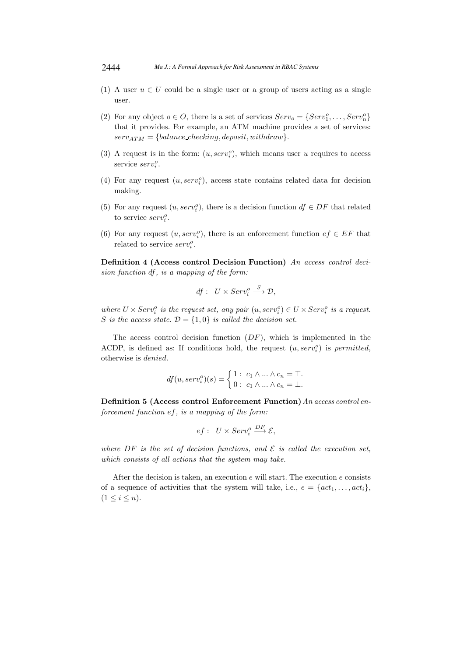- (1) A user  $u \in U$  could be a single user or a group of users acting as a single user.
- (2) For any object  $o \in O$ , there is a set of services  $Serv_o = \{Serv_1^o, \ldots, Serv_n^o\}$ that it provides. For example, an ATM machine provides a set of services:  $serv_{ATM} = \{ balance\_checking, deposit, withdraw\}.$
- (3) A request is in the form:  $(u, serv_i^o)$ , which means user u requires to access service  $serv_i^o$ .
- (4) For any request  $(u, serv<sub>i</sub><sup>o</sup>)$ , access state contains related data for decision making.
- (5) For any request  $(u, serv_i^o)$ , there is a decision function  $df \in DF$  that related to service  $serv_i^o$ .
- (6) For any request  $(u, serv_i^o)$ , there is an enforcement function  $ef \in EF$  that related to service  $serv_i^o$ .

Definition 4 (Access control Decision Function) *An access control decision function* df*, is a mapping of the form:*

$$
df: U \times Serv_i^o \xrightarrow{S} \mathcal{D},
$$

where  $U \times Serv_i^o$  is the request set, any pair  $(u, serv_i^o) \in U \times Serv_i^o$  is a request. S *is the access state.*  $D = \{1,0\}$  *is called the decision set.* 

The access control decision function  $(DF)$ , which is implemented in the ACDP, is defined as: If conditions hold, the request  $(u, serv<sub>i</sub><sup>o</sup>)$  is *permitted*, otherwise is denied.

$$
df(u, serv_i^o)(s) = \begin{cases} 1: & c_1 \wedge \ldots \wedge c_n = \top, \\ 0: & c_1 \wedge \ldots \wedge c_n = \bot. \end{cases}
$$

Definition 5 (Access control Enforcement Function)*An access control enforcement function* ef*, is a mapping of the form:*

$$
ef: U \times Serv_i^o \stackrel{DF}{\longrightarrow} \mathcal{E},
$$

*where*  $DF$  *is the set of decision functions, and*  $\mathcal{E}$  *is called the execution set, which consists of all actions that the system may take.*

After the decision is taken, an execution  $e$  will start. The execution  $e$  consists of a sequence of activities that the system will take, i.e.,  $e = \{act_1, \ldots, act_i\},\$  $(1 \leq i \leq n).$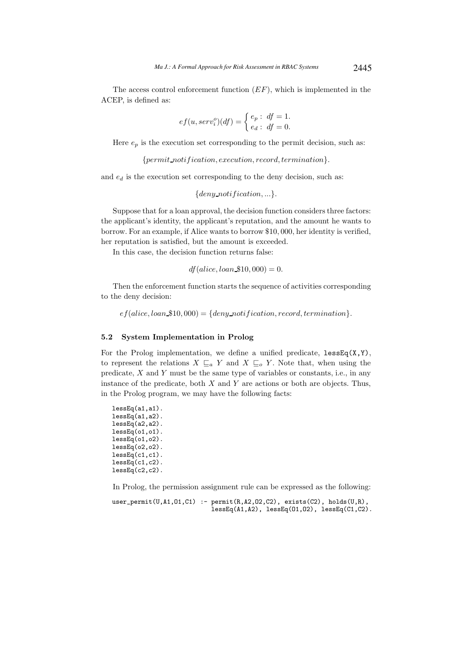The access control enforcement function  $(EF)$ , which is implemented in the ACEP, is defined as:

$$
ef(u, serv_i^o)(df) = \begin{cases} e_p : df = 1, \\ e_d : df = 0. \end{cases}
$$

Here  $e_p$  is the execution set corresponding to the permit decision, such as:

 ${permit\_notification}, execution, record, termination}.$ 

and  $e_d$  is the execution set corresponding to the deny decision, such as:

 ${deny\_notification, ...\}.$ 

Suppose that for a loan approval, the decision function considers three factors: the applicant's identity, the applicant's reputation, and the amount he wants to borrow. For an example, if Alice wants to borrow \$10, 000, her identity is verified, her reputation is satisfied, but the amount is exceeded.

In this case, the decision function returns false:

$$
df(alice, loan\_\$10,000) = 0.
$$

Then the enforcement function starts the sequence of activities corresponding to the deny decision:

 $efi (alice, loan \text{\textsterling}10, 000) = {deny\_notification, record, termination}.$ 

## 5.2 System Implementation in Prolog

For the Prolog implementation, we define a unified predicate,  $lessEq(X, Y)$ , to represent the relations  $X \subseteq_a Y$  and  $X \subseteq_o Y$ . Note that, when using the predicate,  $X$  and  $Y$  must be the same type of variables or constants, i.e., in any instance of the predicate, both  $X$  and  $Y$  are actions or both are objects. Thus, in the Prolog program, we may have the following facts:

```
lessEq(a1,a1).
lessEq(a1,a2).
lessEq(a2,a2).
lessEq(01,01).
lessEq(o1,o2).
lessEq(o2,o2).
lessEq(c1,c1).
lessEq(c1,c2).
lessEq(c2,c2).
```
In Prolog, the permission assignment rule can be expressed as the following:

```
user_permit(U,A1,O1,C1) :- permit(R,A2,O2,C2), exists(C2), holds(U,R),
                           lessEq(A1,A2), lessEq(O1,O2), lessEq(C1,C2).
```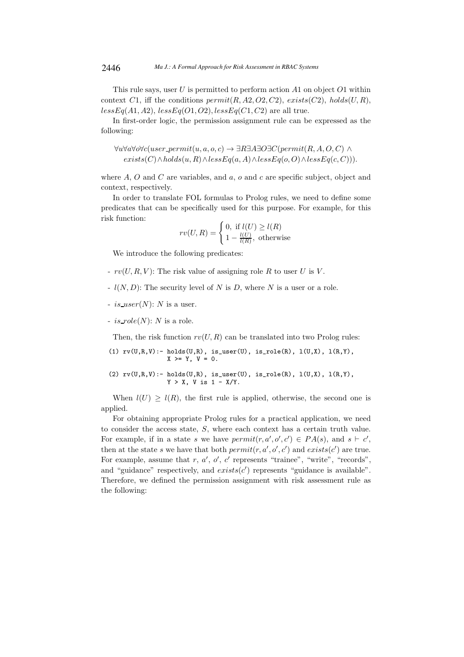This rule says, user  $U$  is permitted to perform action  $A1$  on object  $O1$  within context C1, iff the conditions  $\text{permit}(R, A2, O2, C2)$ ,  $\text{exists}(C2)$ ,  $\text{holds}(U, R)$ ,  $less Eq(A1, A2), less Eq(O1, O2), less Eq(C1, C2)$  are all true.

In first-order logic, the permission assignment rule can be expressed as the following:

$$
\forall u \forall a \forall o \forall c (user\_permit(u, a, o, c) \rightarrow \exists R \exists A \exists O \exists C (permit(R, A, O, C) \land exists(C) \land holds(u, R) \land lessEq(a, A) \land lessEq(o, O) \land lessEq(c, C))).
$$

where A, O and C are variables, and a,  $\sigma$  and c are specific subject, object and context, respectively.

In order to translate FOL formulas to Prolog rules, we need to define some predicates that can be specifically used for this purpose. For example, for this risk function:

$$
rv(U,R) = \begin{cases} 0, \text{ if } l(U) \ge l(R) \\ 1 - \frac{l(U)}{l(R)}, \text{ otherwise} \end{cases}
$$

We introduce the following predicates:

- $rv(U, R, V)$ : The risk value of assigning role R to user U is V.
- $l(N, D)$ : The security level of N is D, where N is a user or a role.
- $-$  is user(N): N is a user.
- $-$  is  $role(N)$ : N is a role.

Then, the risk function  $rv(U, R)$  can be translated into two Prolog rules:

(1) 
$$
rv(U,R,V) := \text{holds}(U,R), \text{ is\_user}(U), \text{ is\_role}(R), \text{ l}(U,X), \text{ l}(R,Y),
$$
  
 $X \geq Y, V = 0.$ 

(2) 
$$
rv(U,R,V) := \text{holds}(U,R), \text{ is\_user}(U), \text{ is\_role}(R), \text{ l}(U,X), \text{ l}(R,Y), Y > X, V \text{ is } 1 - X/Y.
$$

When  $l(U) \geq l(R)$ , the first rule is applied, otherwise, the second one is applied.

For obtaining appropriate Prolog rules for a practical application, we need to consider the access state, S, where each context has a certain truth value. For example, if in a state s we have  $\text{permit}(r, a', o', c') \in PA(s)$ , and  $s \vdash c'$ , then at the state s we have that both  $\text{permit}(r, a', o', c')$  and  $\text{exists}(c')$  are true. For example, assume that  $r, a', o', c'$  represents "trainee", "write", "records", and "guidance" respectively, and  $exists(c')$  represents "guidance is available". Therefore, we defined the permission assignment with risk assessment rule as the following: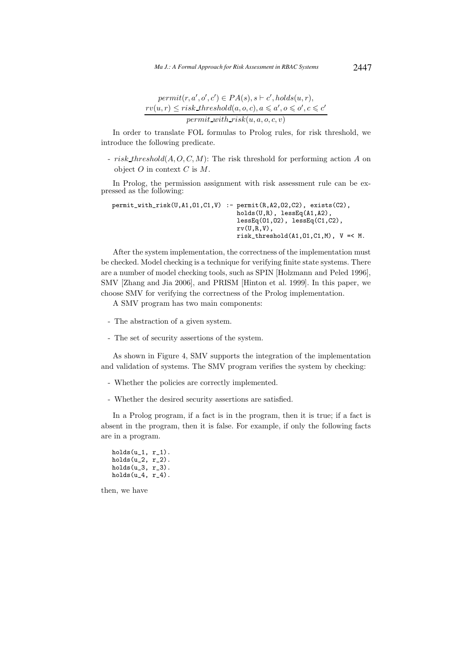$$
permit(r, a', o', c') \in PA(s), s \vdash c', holds(u, r),
$$
  

$$
rv(u, r) \leq risk\_threshold(a, o, c), a \leq a', o \leq o', c \leq c'
$$
  

$$
permit\_with\_risk(u, a, o, c, v)
$$

In order to translate FOL formulas to Prolog rules, for risk threshold, we introduce the following predicate.

- risk threshold( $A, O, C, M$ ): The risk threshold for performing action  $A$  on object  $O$  in context  $C$  is  $M$ .

In Prolog, the permission assignment with risk assessment rule can be expressed as the following:

```
permit_with_risk(U,A1,O1,C1,V) :- permit(R,A2,O2,C2), exists(C2),
                                   holds(U,R), lessEq(A1,A2),
                                   lessEq(O1,O2), lessEq(C1,C2),
                                   rv(U,R,V),
                                   risk_tthreshold(A1,01,C1,M), V = < M.
```
After the system implementation, the correctness of the implementation must be checked. Model checking is a technique for verifying finite state systems. There are a number of model checking tools, such as SPIN [Holzmann and Peled 1996], SMV [Zhang and Jia 2006], and PRISM [Hinton et al. 1999]. In this paper, we choose SMV for verifying the correctness of the Prolog implementation.

A SMV program has two main components:

- The abstraction of a given system.
- The set of security assertions of the system.

As shown in Figure 4, SMV supports the integration of the implementation and validation of systems. The SMV program verifies the system by checking:

- Whether the policies are correctly implemented.
- Whether the desired security assertions are satisfied.

In a Prolog program, if a fact is in the program, then it is true; if a fact is absent in the program, then it is false. For example, if only the following facts are in a program.

```
holds(u_1, r_1).
holds(u_2, r_2).
holds(u_3, r_3).
holds(u_4, r_4).
```
then, we have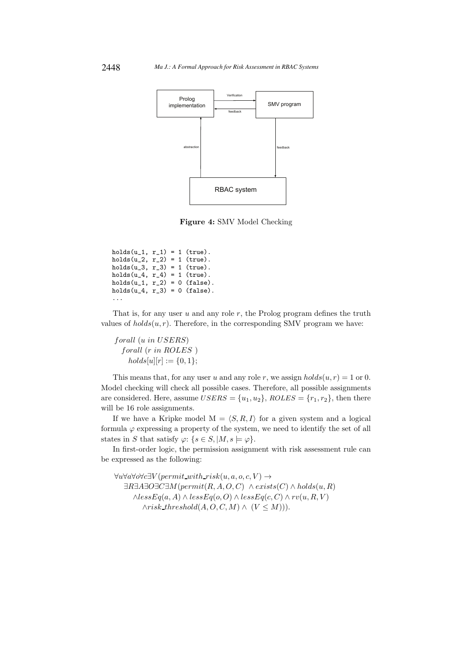

Figure 4: SMV Model Checking

```
holds(u_1, r_1) = 1 (true).holds(u_2, r_2) = 1 (true).
holds(u_3, r_3) = 1 (true).holds(u_4, r_4) = 1 (true).
holds(u_1, r_2) = 0 (false).
holds(u_4, r_3) = 0 (false).
...
```
That is, for any user  $u$  and any role  $r$ , the Prolog program defines the truth values of  $holds(u, r)$ . Therefore, in the corresponding SMV program we have:

forall (u in USERS) forall (r in ROLES )  $holds[u][r] := \{0, 1\};$ 

This means that, for any user u and any role r, we assign  $holds(u, r) = 1$  or 0. Model checking will check all possible cases. Therefore, all possible assignments are considered. Here, assume  $USERS = \{u_1, u_2\}$ ,  $ROLES = \{r_1, r_2\}$ , then there will be 16 role assignments.

If we have a Kripke model  $M = \langle S, R, I \rangle$  for a given system and a logical formula  $\varphi$  expressing a property of the system, we need to identify the set of all states in S that satisfy  $\varphi$ : { $s \in S$ , |M,  $s \models \varphi$  }.

In first-order logic, the permission assignment with risk assessment rule can be expressed as the following:

 $\forall u \forall a \forall o \forall c \exists V (permit\_with\_risk(u, a, o, c, V) \rightarrow$  $\exists R \exists A \exists O \exists C \exists M (permit(R, A, O, C) \land exists(C) \land holds(u, R)$  $\wedge lessEq(a, A) \wedge lessEq(o, O) \wedge lessEq(c, C) \wedge rv(u, R, V)$  $\land risk\_threshold(A, O, C, M) \land (V \leq M)).$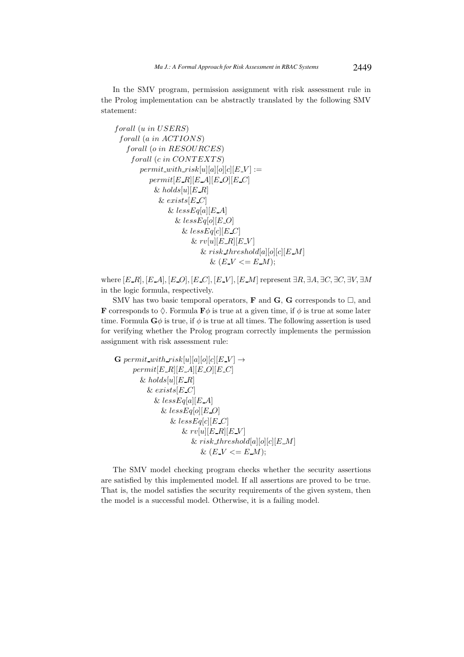In the SMV program, permission assignment with risk assessment rule in the Prolog implementation can be abstractly translated by the following SMV statement:

$$
for all (u in USERS)
$$
\n
$$
for all (a in ACTIONS)
$$
\n
$$
for all (o in RESOURCES)
$$
\n
$$
for all (c in CONTEXTS)
$$
\n
$$
permit\_with\_risk[u][a][o][c][E.V] :=
$$
\n
$$
permit[E.R][E.A][E.O][E.C]
$$
\n
$$
\& holds[u][E.R]
$$
\n
$$
\& exists[E.C]
$$
\n
$$
\& lessEq[a][E.A]
$$
\n
$$
\& lessEq[c][E.C]
$$
\n
$$
\& result[E.R][E.V]
$$
\n
$$
\& result[E.R][E.V]
$$
\n
$$
\& risk\_threshold[a][o][c][E.M]
$$
\n
$$
\& (E.V <= E.M);
$$

where  $[E_R], [E_A], [E_O], [E_C], [E_V], [E_M]$  represent  $\exists R, \exists A, \exists C, \exists C, \exists V, \exists M$ in the logic formula, respectively.

SMV has two basic temporal operators, **F** and **G**, **G** corresponds to  $\Box$ , and **F** corresponds to  $\Diamond$ . Formula **F** $\phi$  is true at a given time, if  $\phi$  is true at some later time. Formula  $\mathbf{G}\phi$  is true, if  $\phi$  is true at all times. The following assertion is used for verifying whether the Prolog program correctly implements the permission assignment with risk assessment rule:

$$
\begin{aligned}\n\mathbf{G} \operatorname{permit\_with\_risk}[u][a][o][c][E-V] &\rightarrow \\
 & \operatorname{permit}[E\_R][E\_A][E\_O][E\_C] \\
 &\& \operatorname{holds}[u][E\_R] \\
 &\& \operatorname{exists}[E\_C] \\
 &\& \operatorname{lessEq}[a][E\_A] \\
 &\& \operatorname{lessEq}[o][E\_O] \\
 &\& \operatorname{lessEq}[c][E\_C] \\
 &\& \operatorname{rv}[u][E\_R][E\_V] \\
 &\& \operatorname{risk\_threshold}[a][o][c][E\_M] \\
 &\& \operatorname{Ek\_t}(\operatorname{sk\_threshold}[a][o][c][E\_M] \\
 &\& \operatorname{Ek\_t}(\operatorname{sk\_p}(\operatorname{sk\_p}(\operatorname{sk\_p}(\operatorname{sk\_p}(\operatorname{sk\_p}(\operatorname{sk\_p}(\operatorname{sk\_p}(\operatorname{sk\_p}(\operatorname{sk\_p}(\operatorname{sk\_p}(\operatorname{sk\_p}(\operatorname{sk\_p}(\operatorname{sk\_p}(\operatorname{sk\_p}(\operatorname{sk\_p}(\operatorname{sk\_p}(\operatorname{sk\_p}(\operatorname{sk\_p}(\operatorname{sk\_p}(\operatorname{sk\_p}(\operatorname{sk\_p}(\operatorname{sk\_p}(\operatorname{sk\_p}(\operatorname{sk\_p}(\operatorname{sk\_p}(\operatorname{sk\_p}(\operatorname{sk\_p}(\operatorname{sk\_p}(\operatorname{sk\_p}(\operatorname{sk\_p}(\operatorname{sk\_p}(\operatorname{sk\_p}(\operatorname{sk\_p}(\operatorname{sk\_p}(\operatorname{sk\_p}(\operatorname{sk\_p}(\operatorname{sk\_p}(\operatorname{sk\_p}(\operatorname{sk\_p}(\operatorname{sk\_p}(\operatorname{sk\_p}(\operatorname{sk\_p}(\operatorname{sk\_p}(\operatorname{sk\_p}(\operatorname{sk\_p}(\operatorname{sk\_p}(\operatorname{sk\_p}(\operatorname{sk\_p}(\operatorname{sk\_p}(\operatorname{sk\_p}(\operatorname{sk\_p}(\operatorname{sk\_p}(\operatorname{sk\_p}(\operatorname{sk\_p}(\operatorname{sk\_p}(\operatorname{sk\_p}(\operatorname{sk\_p}(\operatorname{sk\_p}(\operatorname{sk\_p}(\operatorname{sk\_p}(\operatorname{sk\_p}(\operatorname{sk\_p}(\operatorname{sk\_p
$$

The SMV model checking program checks whether the security assertions are satisfied by this implemented model. If all assertions are proved to be true. That is, the model satisfies the security requirements of the given system, then the model is a successful model. Otherwise, it is a failing model.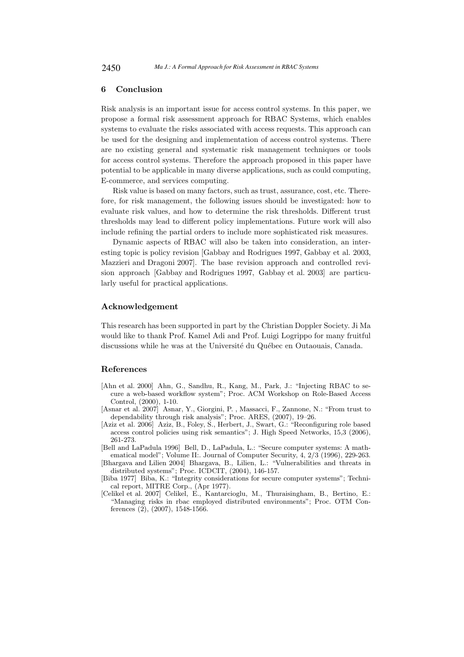# 6 Conclusion

Risk analysis is an important issue for access control systems. In this paper, we propose a formal risk assessment approach for RBAC Systems, which enables systems to evaluate the risks associated with access requests. This approach can be used for the designing and implementation of access control systems. There are no existing general and systematic risk management techniques or tools for access control systems. Therefore the approach proposed in this paper have potential to be applicable in many diverse applications, such as could computing, E-commerce, and services computing.

Risk value is based on many factors, such as trust, assurance, cost, etc. Therefore, for risk management, the following issues should be investigated: how to evaluate risk values, and how to determine the risk thresholds. Different trust thresholds may lead to different policy implementations. Future work will also include refining the partial orders to include more sophisticated risk measures.

Dynamic aspects of RBAC will also be taken into consideration, an interesting topic is policy revision [Gabbay and Rodrigues 1997, Gabbay et al. 2003, Mazzieri and Dragoni 2007]. The base revision approach and controlled revision approach [Gabbay and Rodrigues 1997, Gabbay et al. 2003] are particularly useful for practical applications.

# Acknowledgement

This research has been supported in part by the Christian Doppler Society. Ji Ma would like to thank Prof. Kamel Adi and Prof. Luigi Logrippo for many fruitful discussions while he was at the Université du Québec en Outaouais, Canada.

# References

- [Ahn et al. 2000] Ahn, G., Sandhu, R., Kang, M., Park, J.: "Injecting RBAC to secure a web-based workflow system"; Proc. ACM Workshop on Role-Based Access Control, (2000), 1-10.
- [Asnar et al. 2007] Asnar, Y., Giorgini, P. , Massacci, F., Zannone, N.: "From trust to dependability through risk analysis"; Proc. ARES, (2007), 19–26.
- [Aziz et al. 2006] Aziz, B., Foley, S., Herbert, J., Swart, G.: "Reconfiguring role based access control policies using risk semantics"; J. High Speed Networks, 15,3 (2006), 261-273.
- [Bell and LaPadula 1996] Bell, D., LaPadula, L.: "Secure computer systems: A mathematical model"; Volume II:. Journal of Computer Security, 4, 2/3 (1996), 229-263.
- [Bhargava and Lilien 2004] Bhargava, B., Lilien, L.: "Vulnerabilities and threats in distributed systems"; Proc. ICDCIT, (2004), 146-157.
- [Biba 1977] Biba, K.: "Integrity considerations for secure computer systems"; Technical report, MITRE Corp., (Apr 1977).
- [Celikel et al. 2007] Celikel, E., Kantarcioglu, M., Thuraisingham, B., Bertino, E.: "Managing risks in rbac employed distributed environments"; Proc. OTM Conferences (2), (2007), 1548-1566.